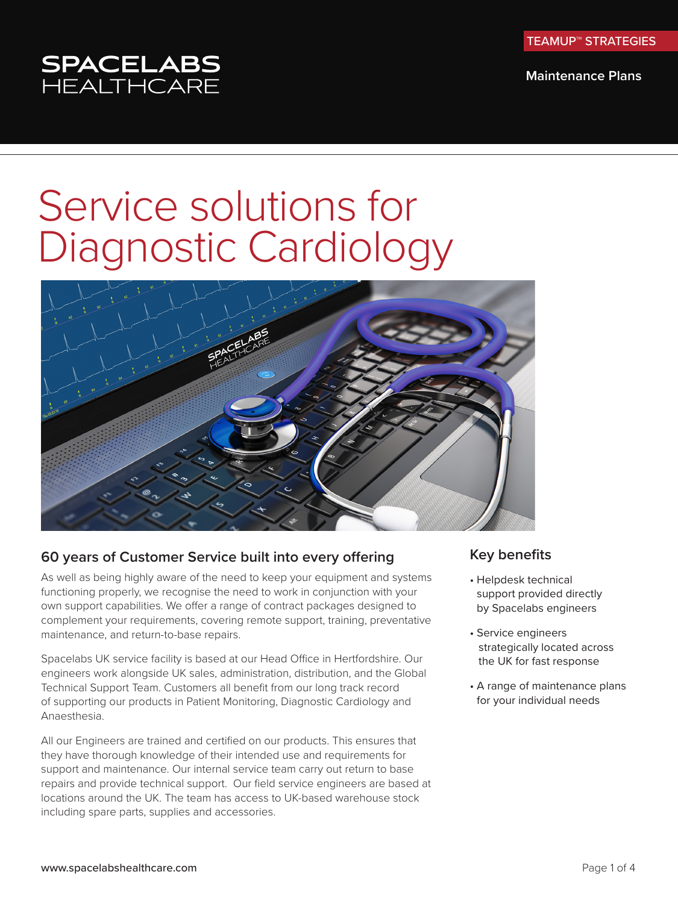**Maintenance Plans**

# SPACELABS<br>HEALTHCARE

## Service solutions for Diagnostic Cardiology



## **60 years of Customer Service built into every offering**

As well as being highly aware of the need to keep your equipment and systems functioning properly, we recognise the need to work in conjunction with your own support capabilities. We offer a range of contract packages designed to complement your requirements, covering remote support, training, preventative maintenance, and return-to-base repairs.

Spacelabs UK service facility is based at our Head Office in Hertfordshire. Our engineers work alongside UK sales, administration, distribution, and the Global Technical Support Team. Customers all benefit from our long track record of supporting our products in Patient Monitoring, Diagnostic Cardiology and Anaesthesia.

All our Engineers are trained and certified on our products. This ensures that they have thorough knowledge of their intended use and requirements for support and maintenance. Our internal service team carry out return to base repairs and provide technical support. Our field service engineers are based at locations around the UK. The team has access to UK-based warehouse stock including spare parts, supplies and accessories.

## **Key benefits**

- Helpdesk technical support provided directly by Spacelabs engineers
- Service engineers strategically located across the UK for fast response
- A range of maintenance plans for your individual needs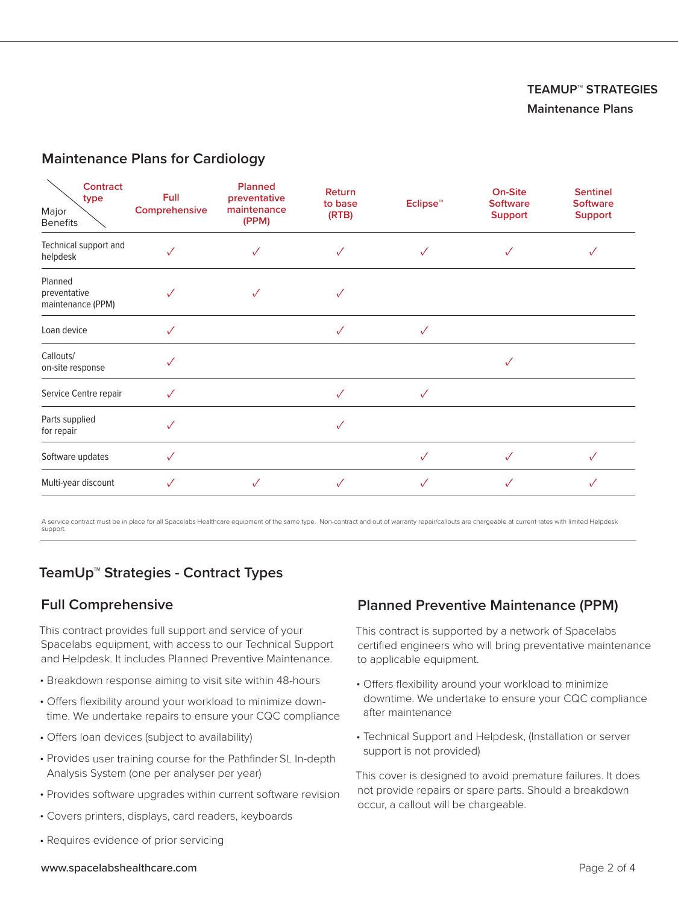## **TEAMUP**™ **STRATEGIES Maintenance Plans**

## **Maintenance Plans for Cardiology**

| Contract<br>type<br>Major<br><b>Benefits</b> | Full<br>Comprehensive | <b>Planned</b><br>preventative<br>maintenance<br>(PPM) | Return<br>to base<br>(RTB) | Eclipse <sup>™</sup> | On-Site<br><b>Software</b><br><b>Support</b> | <b>Sentinel</b><br><b>Software</b><br><b>Support</b> |
|----------------------------------------------|-----------------------|--------------------------------------------------------|----------------------------|----------------------|----------------------------------------------|------------------------------------------------------|
| Technical support and<br>helpdesk            | $\checkmark$          | $\checkmark$                                           | ✓                          | $\checkmark$         | $\checkmark$                                 |                                                      |
| Planned<br>preventative<br>maintenance (PPM) | $\checkmark$          | $\checkmark$                                           | ✓                          |                      |                                              |                                                      |
| Loan device                                  | ✓                     |                                                        | ✓                          | $\checkmark$         |                                              |                                                      |
| Callouts/<br>on-site response                | ✓                     |                                                        |                            |                      | $\checkmark$                                 |                                                      |
| Service Centre repair                        | $\checkmark$          |                                                        | ✓                          | $\checkmark$         |                                              |                                                      |
| Parts supplied<br>for repair                 | ✓                     |                                                        | ✓                          |                      |                                              |                                                      |
| Software updates                             | $\checkmark$          |                                                        |                            | ✓                    |                                              |                                                      |
| Multi-year discount                          | ✓                     | $\checkmark$                                           |                            | ✓                    |                                              |                                                      |
|                                              |                       |                                                        |                            |                      |                                              |                                                      |

A service contract must be in place for all Spacelabs Healthcare equipment of the same type. Non-contract and out of warranty repair/callouts are chargeable at current rates with limited Helpdesk support.

## **TeamUp™ Strategies - Contract Types**

## **Full Comprehensive**

This contract provides full support and service of your Spacelabs equipment, with access to our Technical Support and Helpdesk. It includes Planned Preventive Maintenance.

- Breakdown response aiming to visit site within 48-hours
- Offers flexibility around your workload to minimize downtime. We undertake repairs to ensure your CQC compliance
- Offers loan devices (subject to availability)
- Provides user training course for the Pathfinder SL In-depth Analysis System (one per analyser per year)
- Provides software upgrades within current software revision
- Covers printers, displays, card readers, keyboards
- Requires evidence of prior servicing

## **Planned Preventive Maintenance (PPM)**

This contract is supported by a network of Spacelabs certified engineers who will bring preventative maintenance to applicable equipment.

- Offers flexibility around your workload to minimize downtime. We undertake to ensure your CQC compliance after maintenance
- Technical Support and Helpdesk, (Installation or server support is not provided)

This cover is designed to avoid premature failures. It does not provide repairs or spare parts. Should a breakdown occur, a callout will be chargeable.

#### www.spacelabshealthcare.com example and the state of 4 and 2 of 4 and 2 of 4 and 2 of 4 and 2 of 4 and 2 of 4 and 2 of 4 and 2 of 4 and 2 of 4 and 2 of 4 and 2 of 4 and 2 of 4 and 2 of 4 and 2 of 4 and 2 of 4 and 2 of 4 an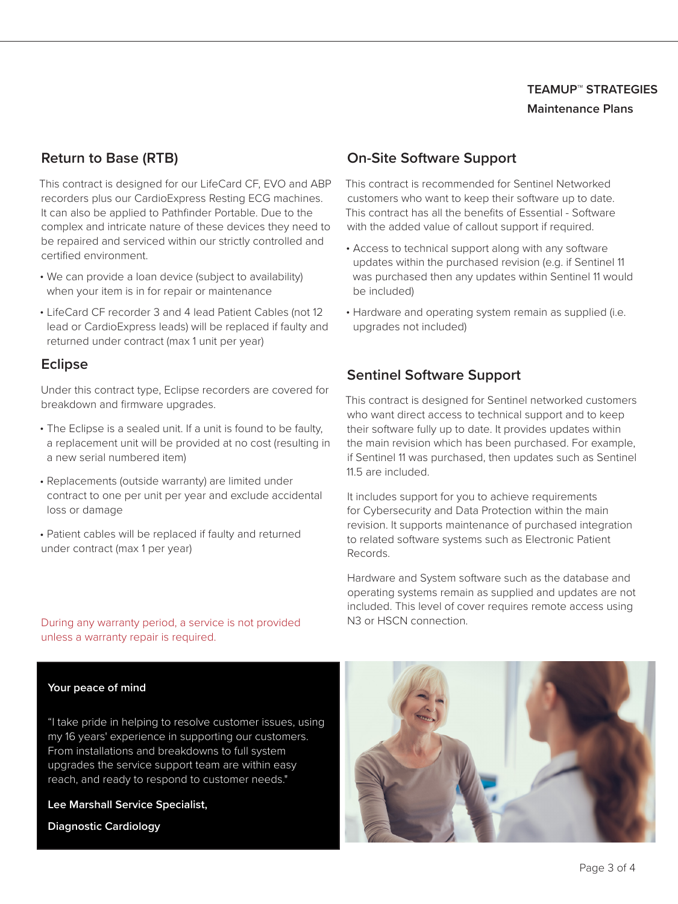## **TEAMUP**™ **STRATEGIES Maintenance Plans**

## **Return to Base (RTB)**

This contract is designed for our LifeCard CF, EVO and ABP recorders plus our CardioExpress Resting ECG machines. It can also be applied to Pathfinder Portable. Due to the complex and intricate nature of these devices they need to be repaired and serviced within our strictly controlled and certified environment.

- We can provide a loan device (subject to availability) when your item is in for repair or maintenance
- LifeCard CF recorder 3 and 4 lead Patient Cables (not 12 lead or CardioExpress leads) will be replaced if faulty and returned under contract (max 1 unit per year)

## **Eclipse**

Under this contract type, Eclipse recorders are covered for breakdown and firmware upgrades.

- The Eclipse is a sealed unit. If a unit is found to be faulty, a replacement unit will be provided at no cost (resulting in a new serial numbered item)
- Replacements (outside warranty) are limited under contract to one per unit per year and exclude accidental loss or damage
- Patient cables will be replaced if faulty and returned under contract (max 1 per year)

During any warranty period, a service is not provided unless a warranty repair is required.

#### **Your peace of mind**

"I take pride in helping to resolve customer issues, using my 16 years' experience in supporting our customers. From installations and breakdowns to full system upgrades the service support team are within easy reach, and ready to respond to customer needs."

#### **Lee Marshall Service Specialist,**

**Diagnostic Cardiology**

## **On-Site Software Support**

This contract is recommended for Sentinel Networked customers who want to keep their software up to date. This contract has all the benefits of Essential - Software with the added value of callout support if required.

- Access to technical support along with any software updates within the purchased revision (e.g. if Sentinel 11 was purchased then any updates within Sentinel 11 would be included)
- Hardware and operating system remain as supplied (i.e. upgrades not included)

## **Sentinel Software Support**

This contract is designed for Sentinel networked customers who want direct access to technical support and to keep their software fully up to date. It provides updates within the main revision which has been purchased. For example, if Sentinel 11 was purchased, then updates such as Sentinel 11.5 are included.

It includes support for you to achieve requirements for Cybersecurity and Data Protection within the main revision. It supports maintenance of purchased integration to related software systems such as Electronic Patient Records.

Hardware and System software such as the database and operating systems remain as supplied and updates are not included. This level of cover requires remote access using N3 or HSCN connection.